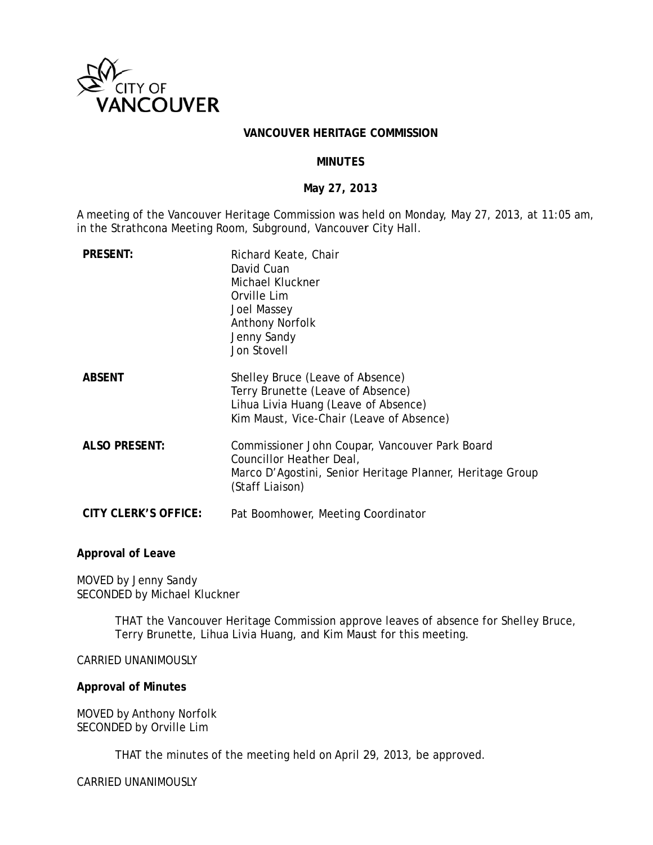

## **VANCOUVER HERITAGE COMMISSION**

## **MINUTES**

### **M May 27, 201 13**

A meeting of the Vancouver Heritage Commission was held on Monday, May 27, 2013, at 11:05 am, in the Strathcona Meeting Room, Subground, Vancouver City Hall.

| <b>PRESENT:</b>      | Richard Keate, Chair<br>David Cuan<br>Michael Kluckner<br>Orville Lim<br><b>Joel Massey</b><br><b>Anthony Norfolk</b><br>Jenny Sandy<br>Jon Stovell        |
|----------------------|------------------------------------------------------------------------------------------------------------------------------------------------------------|
| <b>ABSENT</b>        | Shelley Bruce (Leave of Absence)<br>Terry Brunette (Leave of Absence)<br>Lihua Livia Huang (Leave of Absence)<br>Kim Maust, Vice-Chair (Leave of Absence)  |
| <b>ALSO PRESENT:</b> | Commissioner John Coupar, Vancouver Park Board<br>Councillor Heather Deal,<br>Marco D'Agostini, Senior Heritage Planner, Heritage Group<br>(Staff Liaison) |
| CITY CLERK'S OFFICE: | Pat Boomhower, Meeting Coordinator                                                                                                                         |

#### **Approva l of Leave**

MOVED by Jenny Sandy SECONDED by Michael Kluckner

> THAT the Vancouver Heritage Commission approve leaves of absence for Shelley Bruce, Terry Brunette, Lihua Livia Huang, and Kim Maust for this meeting.

### CARRIED UNANIMOUSLY

### **Approval of Minutes**

MOVED b by Anthony N Norfolk SECONDED by Orville Lim

THAT the minutes of the meeting held on April 29, 2013, be approved.

CARRIED UNANIMOUSLY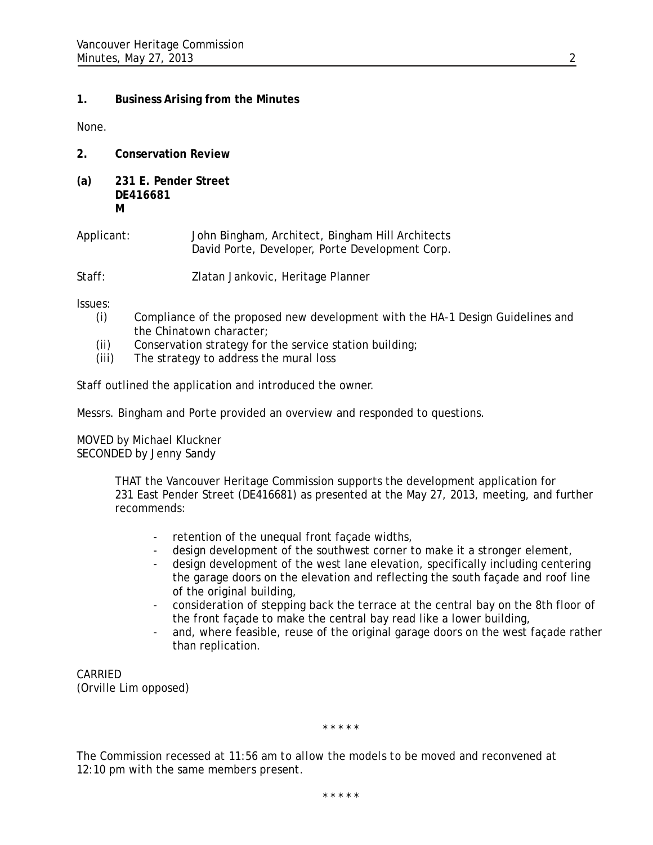# **1. Business Arising from the Minutes**

None.

- **2. Conservation Review**
- **(a) 231 E. Pender Street DE416681 M**

Applicant: John Bingham, Architect, Bingham Hill Architects David Porte, Developer, Porte Development Corp.

Staff: Zlatan Jankovic, Heritage Planner

Issues:

- (i) Compliance of the proposed new development with the HA-1 Design Guidelines and the Chinatown character;
- (ii) Conservation strategy for the service station building;
- (iii) The strategy to address the mural loss

Staff outlined the application and introduced the owner.

Messrs. Bingham and Porte provided an overview and responded to questions.

MOVED by Michael Kluckner SECONDED by Jenny Sandy

> THAT the Vancouver Heritage Commission supports the development application for 231 East Pender Street (DE416681) as presented at the May 27, 2013, meeting, and further recommends:

- retention of the unequal front façade widths,
- design development of the southwest corner to make it a stronger element,
- design development of the west lane elevation, specifically including centering the garage doors on the elevation and reflecting the south façade and roof line of the original building,
- consideration of stepping back the terrace at the central bay on the 8th floor of the front façade to make the central bay read like a lower building,
- and, where feasible, reuse of the original garage doors on the west façade rather than replication.

CARRIED (Orville Lim opposed)

*\* \* \* \* \** 

*The Commission recessed at 11:56 am to allow the models to be moved and reconvened at 12:10 pm with the same members present.* 

*\* \* \* \* \**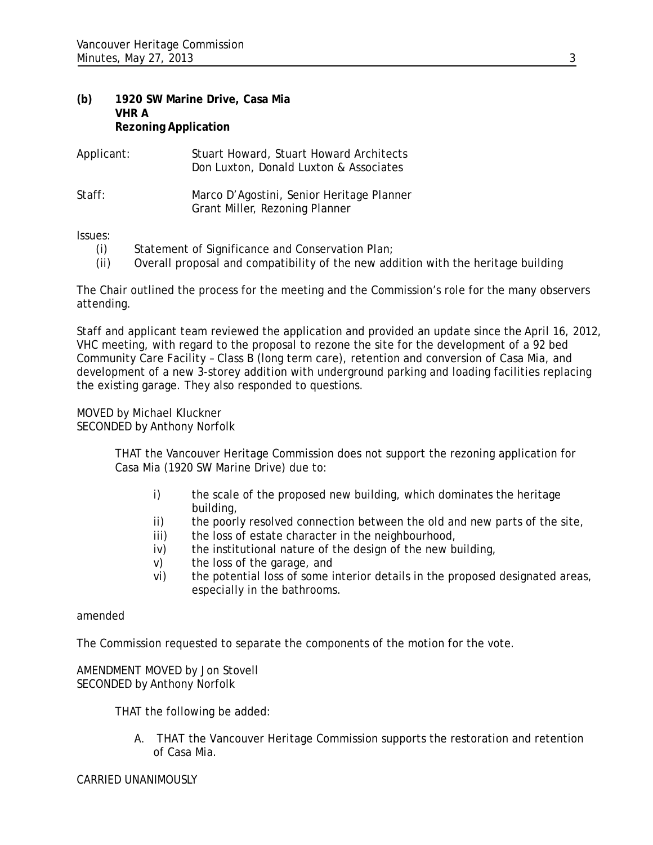# **(b) 1920 SW Marine Drive, Casa Mia VHR A Rezoning Application**

| Applicant: | Stuart Howard, Stuart Howard Architects<br>Don Luxton, Donald Luxton & Associates |
|------------|-----------------------------------------------------------------------------------|
| Staff:     | Marco D'Agostini, Senior Heritage Planner<br>Grant Miller, Rezoning Planner       |

Issues:

- (i) Statement of Significance and Conservation Plan;
- (ii) Overall proposal and compatibility of the new addition with the heritage building

The Chair outlined the process for the meeting and the Commission's role for the many observers attending.

Staff and applicant team reviewed the application and provided an update since the April 16, 2012, VHC meeting, with regard to the proposal to rezone the site for the development of a 92 bed Community Care Facility – Class B (long term care), retention and conversion of Casa Mia, and development of a new 3-storey addition with underground parking and loading facilities replacing the existing garage. They also responded to questions.

MOVED by Michael Kluckner SECONDED by Anthony Norfolk

> THAT the Vancouver Heritage Commission does not support the rezoning application for Casa Mia (1920 SW Marine Drive) due to:

- i) the scale of the proposed new building, which dominates the heritage building,
- ii) the poorly resolved connection between the old and new parts of the site,
- iii) the loss of estate character in the neighbourhood.
- iv) the institutional nature of the design of the new building,
- v) the loss of the garage, and
- vi) the potential loss of some interior details in the proposed designated areas, especially in the bathrooms.

amended

The Commission requested to separate the components of the motion for the vote.

AMENDMENT MOVED by Jon Stovell SECONDED by Anthony Norfolk

THAT the following be added:

A. THAT the Vancouver Heritage Commission supports the restoration and retention of Casa Mia.

## CARRIED UNANIMOUSLY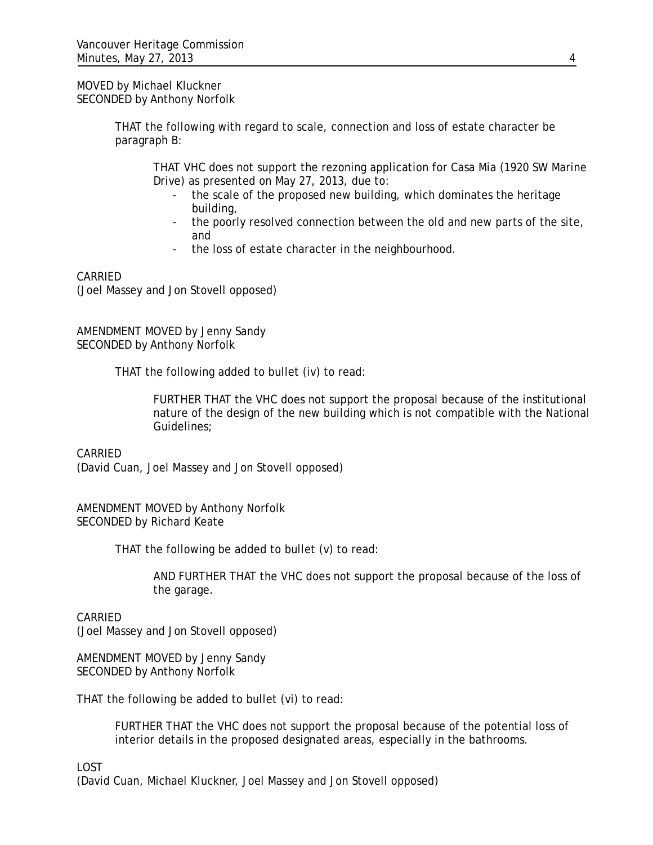## MOVED by Michael Kluckner SECONDED by Anthony Norfolk

THAT the following with regard to scale, connection and loss of estate character be paragraph B:

THAT VHC does not support the rezoning application for Casa Mia (1920 SW Marine Drive) as presented on May 27, 2013, due to:

- the scale of the proposed new building, which dominates the heritage building,
- the poorly resolved connection between the old and new parts of the site, and
- the loss of estate character in the neighbourhood.

# CARRIED

(Joel Massey and Jon Stovell opposed)

AMENDMENT MOVED by Jenny Sandy SECONDED by Anthony Norfolk

THAT the following added to bullet (iv) to read:

FURTHER THAT the VHC does not support the proposal because of the institutional nature of the design of the new building which is not compatible with the National Guidelines;

CARRIED (David Cuan, Joel Massey and Jon Stovell opposed)

AMENDMENT MOVED by Anthony Norfolk SECONDED by Richard Keate

THAT the following be added to bullet (v) to read:

AND FURTHER THAT the VHC does not support the proposal because of the loss of the garage.

# CARRIED

(Joel Massey and Jon Stovell opposed)

AMENDMENT MOVED by Jenny Sandy SECONDED by Anthony Norfolk

THAT the following be added to bullet (vi) to read:

FURTHER THAT the VHC does not support the proposal because of the potential loss of interior details in the proposed designated areas, especially in the bathrooms.

LOST

(David Cuan, Michael Kluckner, Joel Massey and Jon Stovell opposed)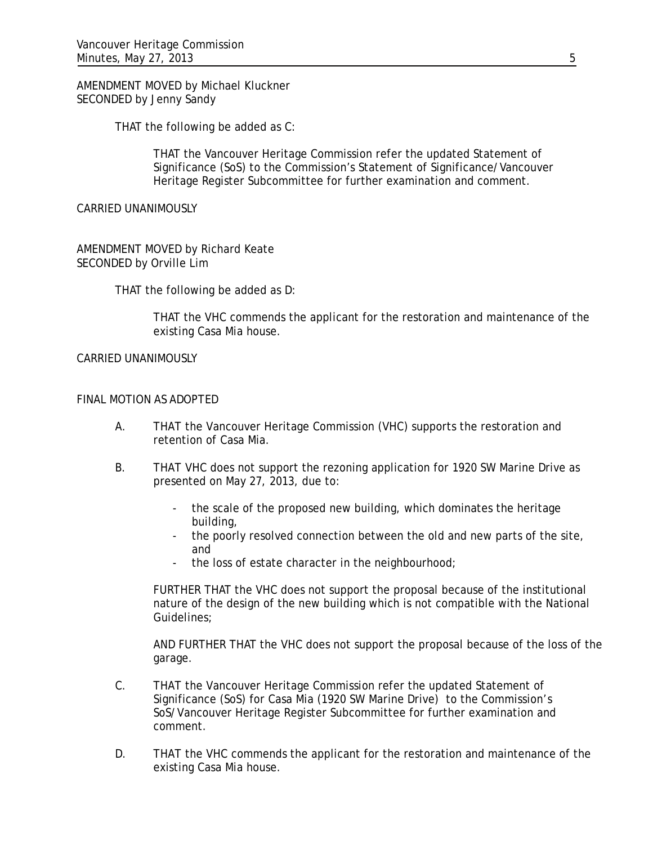AMENDMENT MOVED by Michael Kluckner SECONDED by Jenny Sandy

THAT the following be added as C:

THAT the Vancouver Heritage Commission refer the updated Statement of Significance (SoS) to the Commission's Statement of Significance/Vancouver Heritage Register Subcommittee for further examination and comment.

CARRIED UNANIMOUSLY

AMENDMENT MOVED by Richard Keate SECONDED by Orville Lim

THAT the following be added as D:

THAT the VHC commends the applicant for the restoration and maintenance of the existing Casa Mia house.

CARRIED UNANIMOUSLY

# FINAL MOTION AS ADOPTED

- A. THAT the Vancouver Heritage Commission (VHC) supports the restoration and retention of Casa Mia.
- B. THAT VHC does not support the rezoning application for 1920 SW Marine Drive as presented on May 27, 2013, due to:
	- the scale of the proposed new building, which dominates the heritage building,
	- the poorly resolved connection between the old and new parts of the site, and
	- the loss of estate character in the neighbourhood;

FURTHER THAT the VHC does not support the proposal because of the institutional nature of the design of the new building which is not compatible with the National Guidelines;

AND FURTHER THAT the VHC does not support the proposal because of the loss of the garage.

- C. THAT the Vancouver Heritage Commission refer the updated Statement of Significance (SoS) for Casa Mia (1920 SW Marine Drive) to the Commission's SoS/Vancouver Heritage Register Subcommittee for further examination and comment.
- D. THAT the VHC commends the applicant for the restoration and maintenance of the existing Casa Mia house.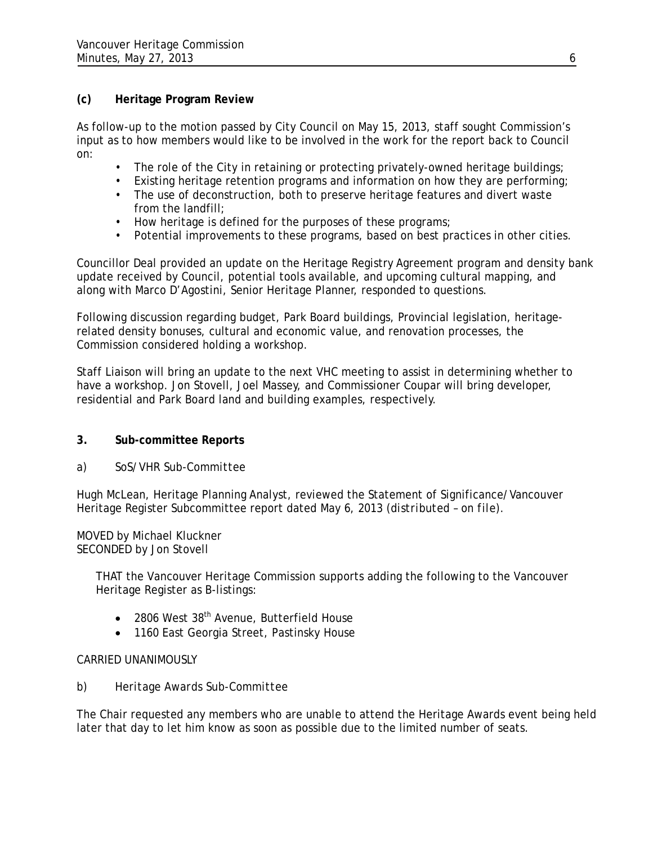# **(c) Heritage Program Review**

As follow-up to the motion passed by City Council on May 15, 2013, staff sought Commission's input as to how members would like to be involved in the work for the report back to Council on:

- The role of the City in retaining or protecting privately-owned heritage buildings;
- Existing heritage retention programs and information on how they are performing;
- The use of deconstruction, both to preserve heritage features and divert waste from the landfill;
- How heritage is defined for the purposes of these programs;
- Potential improvements to these programs, based on best practices in other cities.

Councillor Deal provided an update on the Heritage Registry Agreement program and density bank update received by Council, potential tools available, and upcoming cultural mapping, and along with Marco D'Agostini, Senior Heritage Planner, responded to questions.

Following discussion regarding budget, Park Board buildings, Provincial legislation, heritagerelated density bonuses, cultural and economic value, and renovation processes, the Commission considered holding a workshop.

Staff Liaison will bring an update to the next VHC meeting to assist in determining whether to have a workshop. Jon Stovell, Joel Massey, and Commissioner Coupar will bring developer, residential and Park Board land and building examples, respectively.

# **3. Sub-committee Reports**

*a) SoS/VHR Sub-Committee* 

Hugh McLean, Heritage Planning Analyst, reviewed the Statement of Significance/Vancouver Heritage Register Subcommittee report dated May 6, 2013 *(distributed – on file)*.

MOVED by Michael Kluckner SECONDED by Jon Stovell

> THAT the Vancouver Heritage Commission supports adding the following to the Vancouver Heritage Register as B-listings:

- $\bullet$  2806 West 38<sup>th</sup> Avenue, Butterfield House
- 1160 East Georgia Street, Pastinsky House

# CARRIED UNANIMOUSLY

# *b) Heritage Awards Sub-Committee*

The Chair requested any members who are unable to attend the Heritage Awards event being held later that day to let him know as soon as possible due to the limited number of seats.